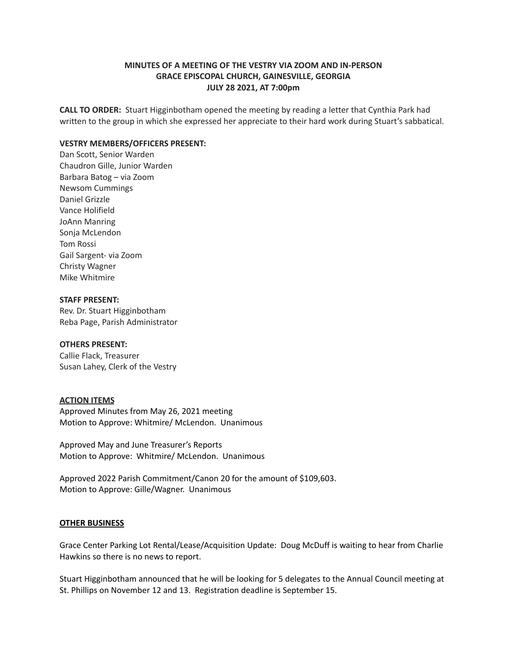# **MINUTES OF A MEETING OF THE VESTRY VIA ZOOM AND IN-PERSON GRACE EPISCOPAL CHURCH, GAINESVILLE, GEORGIA JULY 28 2021, AT 7:00pm**

**CALL TO ORDER:** Stuart Higginbotham opened the meeting by reading a letter that Cynthia Park had written to the group in which she expressed her appreciate to their hard work during Stuart's sabbatical.

## **VESTRY MEMBERS/OFFICERS PRESENT:**

Dan Scott, Senior Warden Chaudron Gille, Junior Warden Barbara Batog – via Zoom Newsom Cummings Daniel Grizzle Vance Holifield JoAnn Manring Sonja McLendon Tom Rossi Gail Sargent- via Zoom Christy Wagner Mike Whitmire

# **STAFF PRESENT:**

Rev. Dr. Stuart Higginbotham Reba Page, Parish Administrator

#### **OTHERS PRESENT:**

Callie Flack, Treasurer Susan Lahey, Clerk of the Vestry

## **ACTION ITEMS**

Approved Minutes from May 26, 2021 meeting Motion to Approve: Whitmire/ McLendon. Unanimous

Approved May and June Treasurer's Reports Motion to Approve: Whitmire/ McLendon. Unanimous

Approved 2022 Parish Commitment/Canon 20 for the amount of \$109,603. Motion to Approve: Gille/Wagner. Unanimous

# **OTHER BUSINESS**

Grace Center Parking Lot Rental/Lease/Acquisition Update: Doug McDuff is waiting to hear from Charlie Hawkins so there is no news to report.

Stuart Higginbotham announced that he will be looking for 5 delegates to the Annual Council meeting at St. Phillips on November 12 and 13. Registration deadline is September 15.